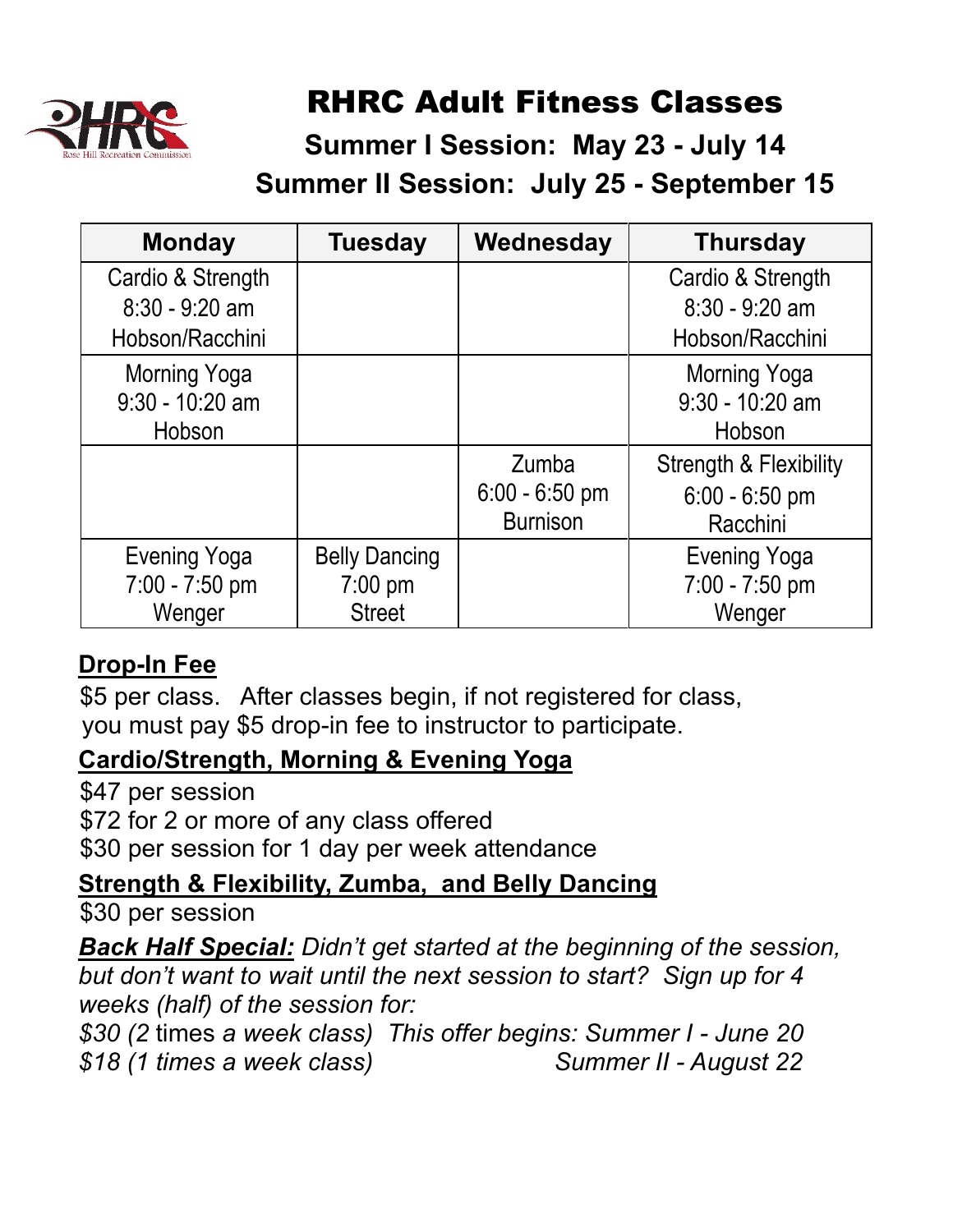

## RHRC Adult Fitness Classes

### **Summer I Session: May 23 - July 14 Summer II Session: July 25 - September 15**

| <b>Monday</b>                                            | <b>Tuesday</b>                                             | Wednesday                                    | <b>Thursday</b>                                                   |
|----------------------------------------------------------|------------------------------------------------------------|----------------------------------------------|-------------------------------------------------------------------|
| Cardio & Strength<br>$8:30 - 9:20$ am<br>Hobson/Racchini |                                                            |                                              | Cardio & Strength<br>$8:30 - 9:20$ am<br>Hobson/Racchini          |
| Morning Yoga<br>$9:30 - 10:20$ am<br>Hobson              |                                                            |                                              | Morning Yoga<br>$9:30 - 10:20$ am<br>Hobson                       |
|                                                          |                                                            | Zumba<br>$6:00 - 6:50$ pm<br><b>Burnison</b> | <b>Strength &amp; Flexibility</b><br>$6:00 - 6:50$ pm<br>Racchini |
| <b>Evening Yoga</b><br>7:00 - 7:50 pm<br>Wenger          | <b>Belly Dancing</b><br>$7:00 \text{ pm}$<br><b>Street</b> |                                              | <b>Evening Yoga</b><br>7:00 - 7:50 pm<br>Wenger                   |

### **Drop-In Fee**

\$5 per class. After classes begin, if not registered for class, you must pay \$5 drop-in fee to instructor to participate.

### **Cardio/Strength, Morning & Evening Yoga**

\$47 per session \$72 for 2 or more of any class offered

\$30 per session for 1 day per week attendance

### **Strength & Flexibility, Zumba, and Belly Dancing**

\$30 per session

*Back Half Special: Didn't get started at the beginning of the session, but don't want to wait until the next session to start? Sign up for 4 weeks (half) of the session for:*

*\$30 (2* times *a week class) This offer begins: Summer I - June 20 \$18 (1 times a week class) Summer II - August 22*